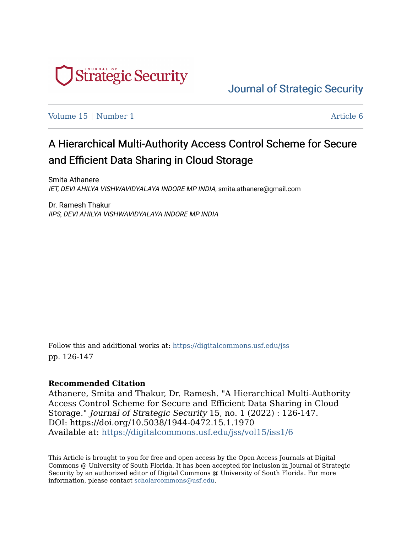

[Journal of Strategic Security](https://digitalcommons.usf.edu/jss) 

[Volume 15](https://digitalcommons.usf.edu/jss/vol15) | [Number 1](https://digitalcommons.usf.edu/jss/vol15/iss1) Article 6

# A Hierarchical Multi-Authority Access Control Scheme for Secure and Efficient Data Sharing in Cloud Storage

Smita Athanere IET, DEVI AHILYA VISHWAVIDYALAYA INDORE MP INDIA, smita.athanere@gmail.com

Dr. Ramesh Thakur IIPS, DEVI AHILYA VISHWAVIDYALAYA INDORE MP INDIA

Follow this and additional works at: [https://digitalcommons.usf.edu/jss](https://digitalcommons.usf.edu/jss?utm_source=digitalcommons.usf.edu%2Fjss%2Fvol15%2Fiss1%2F6&utm_medium=PDF&utm_campaign=PDFCoverPages) pp. 126-147

#### **Recommended Citation**

Athanere, Smita and Thakur, Dr. Ramesh. "A Hierarchical Multi-Authority Access Control Scheme for Secure and Efficient Data Sharing in Cloud Storage." Journal of Strategic Security 15, no. 1 (2022) : 126-147. DOI: https://doi.org/10.5038/1944-0472.15.1.1970 Available at: [https://digitalcommons.usf.edu/jss/vol15/iss1/6](https://digitalcommons.usf.edu/jss/vol15/iss1/6?utm_source=digitalcommons.usf.edu%2Fjss%2Fvol15%2Fiss1%2F6&utm_medium=PDF&utm_campaign=PDFCoverPages) 

This Article is brought to you for free and open access by the Open Access Journals at Digital Commons @ University of South Florida. It has been accepted for inclusion in Journal of Strategic Security by an authorized editor of Digital Commons @ University of South Florida. For more information, please contact [scholarcommons@usf.edu.](mailto:scholarcommons@usf.edu)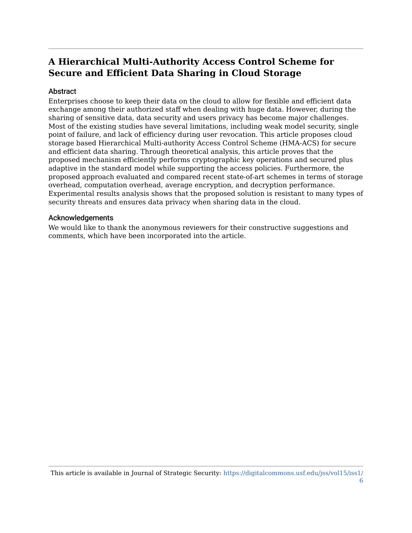# **A Hierarchical Multi-Authority Access Control Scheme for Secure and Efficient Data Sharing in Cloud Storage**

#### **Abstract**

Enterprises choose to keep their data on the cloud to allow for flexible and efficient data exchange among their authorized staff when dealing with huge data. However, during the sharing of sensitive data, data security and users privacy has become major challenges. Most of the existing studies have several limitations, including weak model security, single point of failure, and lack of efficiency during user revocation. This article proposes cloud storage based Hierarchical Multi-authority Access Control Scheme (HMA-ACS) for secure and efficient data sharing. Through theoretical analysis, this article proves that the proposed mechanism efficiently performs cryptographic key operations and secured plus adaptive in the standard model while supporting the access policies. Furthermore, the proposed approach evaluated and compared recent state-of-art schemes in terms of storage overhead, computation overhead, average encryption, and decryption performance. Experimental results analysis shows that the proposed solution is resistant to many types of security threats and ensures data privacy when sharing data in the cloud.

#### Acknowledgements

We would like to thank the anonymous reviewers for their constructive suggestions and comments, which have been incorporated into the article.

This article is available in Journal of Strategic Security: [https://digitalcommons.usf.edu/jss/vol15/iss1/](https://digitalcommons.usf.edu/jss/vol15/iss1/6) [6](https://digitalcommons.usf.edu/jss/vol15/iss1/6)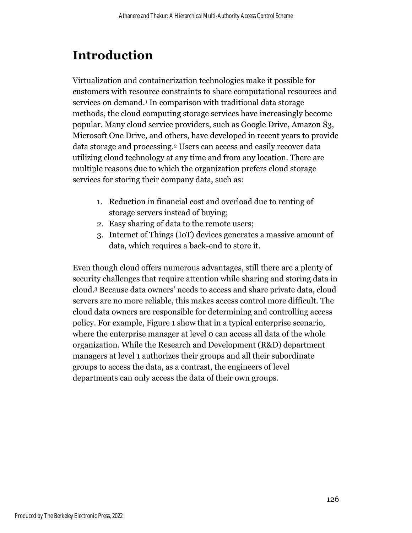# **Introduction**

Virtualization and containerization technologies make it possible for customers with resource constraints to share computational resources and services on demand.<sup>1</sup> In comparison with traditional data storage methods, the cloud computing storage services have increasingly become popular. Many cloud service providers, such as Google Drive, Amazon S3, Microsoft One Drive, and others, have developed in recent years to provide data storage and processing.<sup>2</sup> Users can access and easily recover data utilizing cloud technology at any time and from any location. There are multiple reasons due to which the organization prefers cloud storage services for storing their company data, such as:

- 1. Reduction in financial cost and overload due to renting of storage servers instead of buying;
- 2. Easy sharing of data to the remote users;
- 3. Internet of Things (IoT) devices generates a massive amount of data, which requires a back-end to store it.

Even though cloud offers numerous advantages, still there are a plenty of security challenges that require attention while sharing and storing data in cloud.<sup>3</sup> Because data owners' needs to access and share private data, cloud servers are no more reliable, this makes access control more difficult. The cloud data owners are responsible for determining and controlling access policy. For example, Figure 1 show that in a typical enterprise scenario, where the enterprise manager at level o can access all data of the whole organization. While the Research and Development (R&D) department managers at level 1 authorizes their groups and all their subordinate groups to access the data, as a contrast, the engineers of level departments can only access the data of their own groups.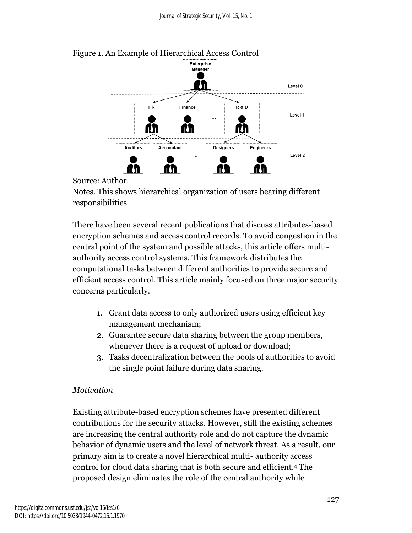

## Figure 1. An Example of Hierarchical Access Control

Source: Author.

Notes. This shows hierarchical organization of users bearing different responsibilities

There have been several recent publications that discuss attributes-based encryption schemes and access control records. To avoid congestion in the central point of the system and possible attacks, this article offers multiauthority access control systems. This framework distributes the computational tasks between different authorities to provide secure and efficient access control. This article mainly focused on three major security concerns particularly.

- 1. Grant data access to only authorized users using efficient key management mechanism;
- 2. Guarantee secure data sharing between the group members, whenever there is a request of upload or download;
- 3. Tasks decentralization between the pools of authorities to avoid the single point failure during data sharing.

## *Motivation*

Existing attribute-based encryption schemes have presented different contributions for the security attacks. However, still the existing schemes are increasing the central authority role and do not capture the dynamic behavior of dynamic users and the level of network threat. As a result, our primary aim is to create a novel hierarchical multi- authority access control for cloud data sharing that is both secure and efficient.<sup>4</sup> The proposed design eliminates the role of the central authority while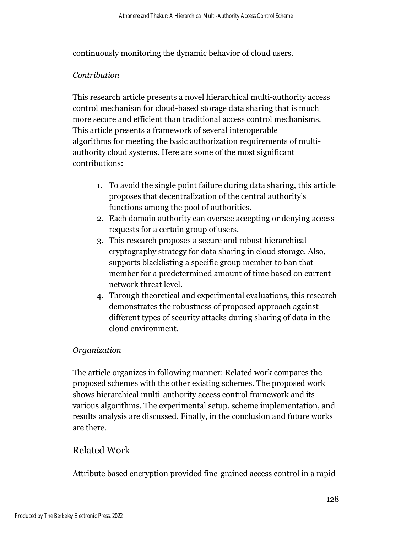continuously monitoring the dynamic behavior of cloud users.

#### *Contribution*

This research article presents a novel hierarchical multi-authority access control mechanism for cloud-based storage data sharing that is much more secure and efficient than traditional access control mechanisms. This article presents a framework of several interoperable algorithms for meeting the basic authorization requirements of multiauthority cloud systems. Here are some of the most significant contributions:

- 1. To avoid the single point failure during data sharing, this article proposes that decentralization of the central authority's functions among the pool of authorities.
- 2. Each domain authority can oversee accepting or denying access requests for a certain group of users.
- 3. This research proposes a secure and robust hierarchical cryptography strategy for data sharing in cloud storage. Also, supports blacklisting a specific group member to ban that member for a predetermined amount of time based on current network threat level.
- 4. Through theoretical and experimental evaluations, this research demonstrates the robustness of proposed approach against different types of security attacks during sharing of data in the cloud environment.

## *Organization*

The article organizes in following manner: Related work compares the proposed schemes with the other existing schemes. The proposed work shows hierarchical multi-authority access control framework and its various algorithms. The experimental setup, scheme implementation, and results analysis are discussed. Finally, in the conclusion and future works are there.

# Related Work

Attribute based encryption provided fine-grained access control in a rapid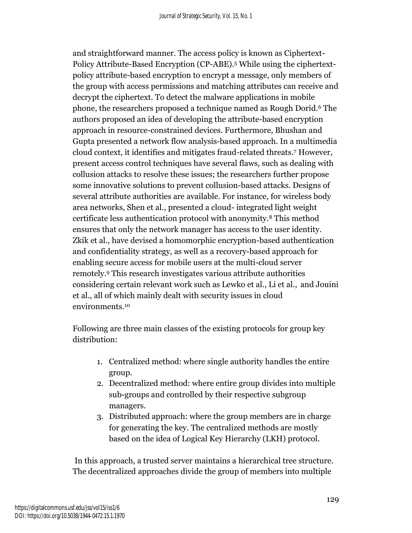and straightforward manner. The access policy is known as Ciphertext-Policy Attribute-Based Encryption (CP-ABE).<sup>5</sup> While using the ciphertextpolicy attribute-based encryption to encrypt a message, only members of the group with access permissions and matching attributes can receive and decrypt the ciphertext. To detect the malware applications in mobile phone, the researchers proposed a technique named as Rough Dorid.<sup>6</sup> The authors proposed an idea of developing the attribute-based encryption approach in resource-constrained devices. Furthermore, Bhushan and Gupta presented a network flow analysis-based approach. In a multimedia cloud context, it identifies and mitigates fraud-related threats.<sup>7</sup> However, present access control techniques have several flaws, such as dealing with collusion attacks to resolve these issues; the researchers further propose some innovative solutions to prevent collusion-based attacks. Designs of several attribute authorities are available. For instance, for wireless body area networks, Shen et al., presented a cloud- integrated light weight certificate less authentication protocol with anonymity.<sup>8</sup> This method ensures that only the network manager has access to the user identity. Zkik et al., have devised a homomorphic encryption-based authentication and confidentiality strategy, as well as a recovery-based approach for enabling secure access for mobile users at the multi-cloud server remotely.<sup>9</sup> This research investigates various attribute authorities considering certain relevant work such as Lewko et al., Li et al., and Jouini et al., all of which mainly dealt with security issues in cloud environments.<sup>10</sup>

Following are three main classes of the existing protocols for group key distribution:

- 1. Centralized method: where single authority handles the entire group.
- 2. Decentralized method: where entire group divides into multiple sub-groups and controlled by their respective subgroup managers.
- 3. Distributed approach: where the group members are in charge for generating the key. The centralized methods are mostly based on the idea of Logical Key Hierarchy (LKH) protocol.

In this approach, a trusted server maintains a hierarchical tree structure. The decentralized approaches divide the group of members into multiple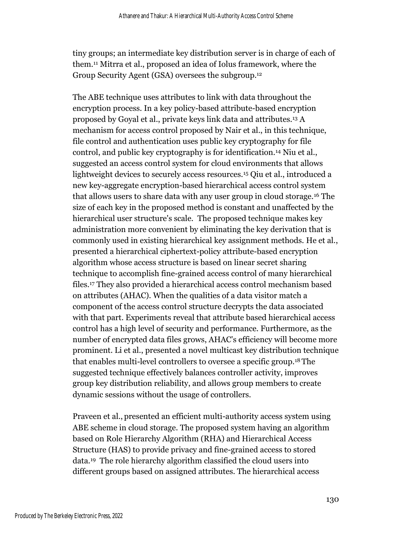tiny groups; an intermediate key distribution server is in charge of each of them.<sup>11</sup> Mitrra et al., proposed an idea of Iolus framework, where the Group Security Agent (GSA) oversees the subgroup.<sup>12</sup>

The ABE technique uses attributes to link with data throughout the encryption process. In a key policy-based attribute-based encryption proposed by Goyal et al., private keys link data and attributes. <sup>13</sup> A mechanism for access control proposed by Nair et al., in this technique, file control and authentication uses public key cryptography for file control, and public key cryptography is for identification.<sup>14</sup> Niu et al., suggested an access control system for cloud environments that allows lightweight devices to securely access resources.<sup>15</sup> Qiu et al., introduced a new key-aggregate encryption-based hierarchical access control system that allows users to share data with any user group in cloud storage.<sup>16</sup> The size of each key in the proposed method is constant and unaffected by the hierarchical user structure's scale. The proposed technique makes key administration more convenient by eliminating the key derivation that is commonly used in existing hierarchical key assignment methods. He et al., presented a hierarchical ciphertext-policy attribute-based encryption algorithm whose access structure is based on linear secret sharing technique to accomplish fine-grained access control of many hierarchical files.<sup>17</sup> They also provided a hierarchical access control mechanism based on attributes (AHAC). When the qualities of a data visitor match a component of the access control structure decrypts the data associated with that part. Experiments reveal that attribute based hierarchical access control has a high level of security and performance. Furthermore, as the number of encrypted data files grows, AHAC's efficiency will become more prominent. Li et al., presented a novel multicast key distribution technique that enables multi-level controllers to oversee a specific group.<sup>18</sup> The suggested technique effectively balances controller activity, improves group key distribution reliability, and allows group members to create dynamic sessions without the usage of controllers.

Praveen et al., presented an efficient multi-authority access system using ABE scheme in cloud storage. The proposed system having an algorithm based on Role Hierarchy Algorithm (RHA) and Hierarchical Access Structure (HAS) to provide privacy and fine-grained access to stored data.<sup>19</sup> The role hierarchy algorithm classified the cloud users into different groups based on assigned attributes. The hierarchical access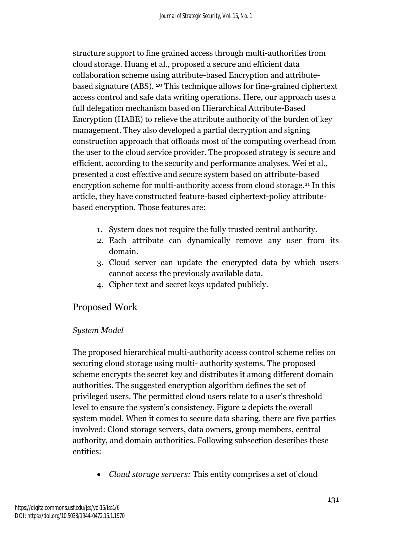structure support to fine grained access through multi-authorities from cloud storage. Huang et al., proposed a secure and efficient data collaboration scheme using attribute-based Encryption and attributebased signature (ABS). <sup>20</sup> This technique allows for fine-grained ciphertext access control and safe data writing operations. Here, our approach uses a full delegation mechanism based on Hierarchical Attribute-Based Encryption (HABE) to relieve the attribute authority of the burden of key management. They also developed a partial decryption and signing construction approach that offloads most of the computing overhead from the user to the cloud service provider. The proposed strategy is secure and efficient, according to the security and performance analyses. Wei et al., presented a cost effective and secure system based on attribute-based encryption scheme for multi-authority access from cloud storage.<sup>21</sup> In this article, they have constructed feature-based ciphertext-policy attributebased encryption. Those features are:

- 1. System does not require the fully trusted central authority.
- 2. Each attribute can dynamically remove any user from its domain.
- 3. Cloud server can update the encrypted data by which users cannot access the previously available data.
- 4. Cipher text and secret keys updated publicly.

# Proposed Work

## *System Model*

The proposed hierarchical multi-authority access control scheme relies on securing cloud storage using multi- authority systems. The proposed scheme encrypts the secret key and distributes it among different domain authorities. The suggested encryption algorithm defines the set of privileged users. The permitted cloud users relate to a user's threshold level to ensure the system's consistency. Figure 2 depicts the overall system model. When it comes to secure data sharing, there are five parties involved: Cloud storage servers, data owners, group members, central authority, and domain authorities. Following subsection describes these entities:

• *Cloud storage servers:* This entity comprises a set of cloud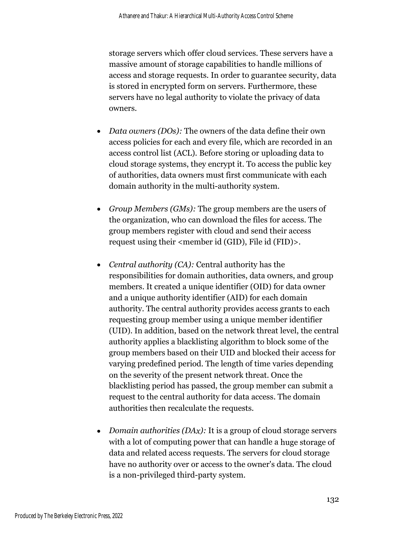storage servers which offer cloud services. These servers have a massive amount of storage capabilities to handle millions of access and storage requests. In order to guarantee security, data is stored in encrypted form on servers. Furthermore, these servers have no legal authority to violate the privacy of data owners.

- *Data owners (DOs):* The owners of the data define their own access policies for each and every file, which are recorded in an access control list (ACL). Before storing or uploading data to cloud storage systems, they encrypt it. To access the public key of authorities, data owners must first communicate with each domain authority in the multi-authority system.
- *Group Members (GMs):* The group members are the users of the organization, who can download the files for access. The group members register with cloud and send their access request using their <member id (GID), File id (FID)>.
- *Central authority (CA):* Central authority has the responsibilities for domain authorities, data owners, and group members. It created a unique identifier (OID) for data owner and a unique authority identifier (AID) for each domain authority. The central authority provides access grants to each requesting group member using a unique member identifier (UID). In addition, based on the network threat level, the central authority applies a blacklisting algorithm to block some of the group members based on their UID and blocked their access for varying predefined period. The length of time varies depending on the severity of the present network threat. Once the blacklisting period has passed, the group member can submit a request to the central authority for data access. The domain authorities then recalculate the requests.
- *Domain authorities (DAx)*: It is a group of cloud storage servers with a lot of computing power that can handle a huge storage of data and related access requests. The servers for cloud storage have no authority over or access to the owner's data. The cloud is a non-privileged third-party system.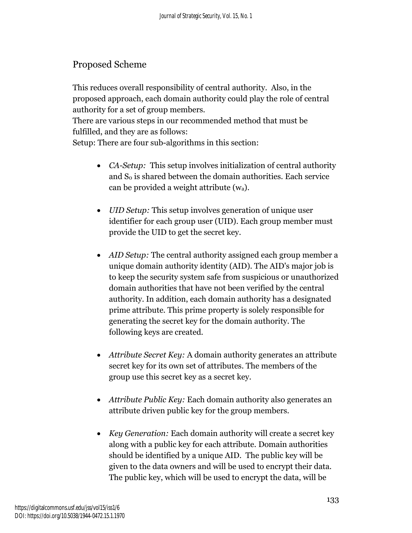# Proposed Scheme

This reduces overall responsibility of central authority. Also, in the proposed approach, each domain authority could play the role of central authority for a set of group members.

There are various steps in our recommended method that must be fulfilled, and they are as follows:

Setup: There are four sub-algorithms in this section:

- *CA-Setup:* This setup involves initialization of central authority and S<sub>0</sub> is shared between the domain authorities. Each service can be provided a weight attribute (wa).
- *UID Setup:* This setup involves generation of unique user identifier for each group user (UID). Each group member must provide the UID to get the secret key.
- *AID Setup:* The central authority assigned each group member a unique domain authority identity (AID). The AID's major job is to keep the security system safe from suspicious or unauthorized domain authorities that have not been verified by the central authority. In addition, each domain authority has a designated prime attribute. This prime property is solely responsible for generating the secret key for the domain authority. The following keys are created.
- *Attribute Secret Key:* A domain authority generates an attribute secret key for its own set of attributes. The members of the group use this secret key as a secret key.
- *Attribute Public Key:* Each domain authority also generates an attribute driven public key for the group members.
- *Key Generation:* Each domain authority will create a secret key along with a public key for each attribute. Domain authorities should be identified by a unique AID. The public key will be given to the data owners and will be used to encrypt their data. The public key, which will be used to encrypt the data, will be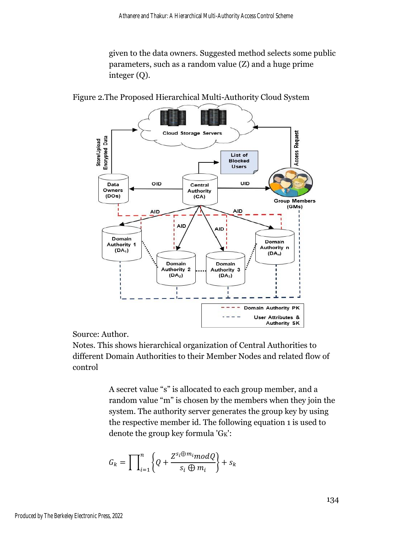given to the data owners. Suggested method selects some public parameters, such as a random value (Z) and a huge prime integer (Q).

Cloud Storage Servers Access Request Encrypted Data **Store/Upload** List of **Blocked Users** UID OID Data Central Authority Owners (DOs)  $(CA)$ Group Members  $(GMs)$ **AID** AID AID AID<sub>.</sub> Domain Domain Authority 1 Authority n  $(DA<sub>1</sub>)$  $(DA_n)$ Domain Domain Authority 2 Authority 3  $(DA<sub>2</sub>)$  $(DA_3)$ Domain Authority PK User Attributes & **Authority SK** 

Figure 2.The Proposed Hierarchical Multi-Authority Cloud System

Source: Author.

Notes. This shows hierarchical organization of Central Authorities to different Domain Authorities to their Member Nodes and related flow of control

> A secret value "s" is allocated to each group member, and a random value "m" is chosen by the members when they join the system. The authority server generates the group key by using the respective member id. The following equation 1 is used to denote the group key formula 'GK':

$$
G_k = \prod_{i=1}^n \left\{ Q + \frac{Z^{s_i \oplus m_i} \mod Q}{s_i \oplus m_i} \right\} + s_k
$$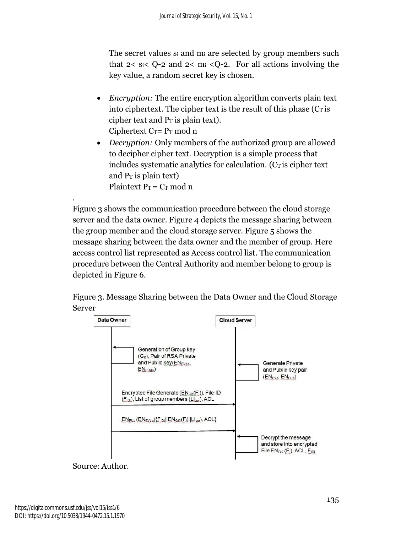The secret values s<sub>i</sub> and m<sub>i</sub> are selected by group members such that  $2 < s_i < Q$ -2 and  $2 < m_i < Q$ -2. For all actions involving the key value, a random secret key is chosen.

- *Encryption:* The entire encryption algorithm converts plain text into ciphertext. The cipher text is the result of this phase  $(C<sub>T</sub>$  is cipher text and  $P<sub>T</sub>$  is plain text). Ciphertext  $C_T = P_T \mod n$
- *Decryption:* Only members of the authorized group are allowed to decipher cipher text. Decryption is a simple process that includes systematic analytics for calculation.  $(C_T)$  is cipher text and  $P_T$  is plain text) Plaintext  $P_T = C_T$  mod n

Figure 3 shows the communication procedure between the cloud storage server and the data owner. Figure 4 depicts the message sharing between the group member and the cloud storage server. Figure 5 shows the message sharing between the data owner and the member of group. Here access control list represented as Access control list. The communication procedure between the Central Authority and member belong to group is depicted in Figure 6.





## Source: Author.

.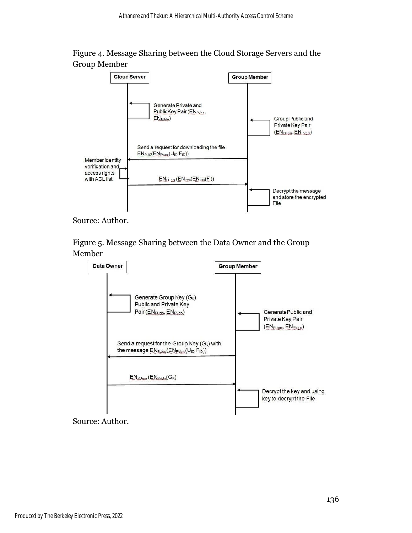



Source: Author.

Figure 5. Message Sharing between the Data Owner and the Group Member



Source: Author.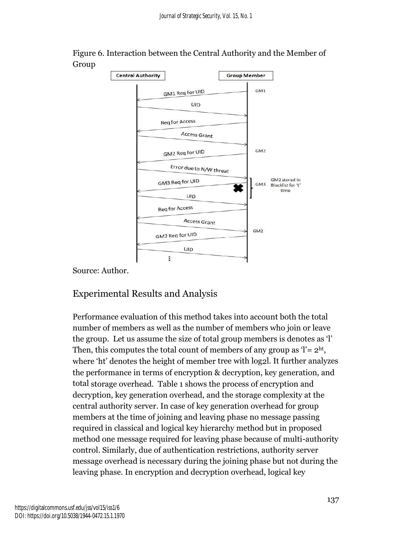

Figure 6. Interaction between the Central Authority and the Member of Group

Source: Author.

# Experimental Results and Analysis

Performance evaluation of this method takes into account both the total number of members as well as the number of members who join or leave the group. Let us assume the size of total group members is denotes as 'l' Then, this computes the total count of members of any group as  $\mathcal{C} = 2^{\text{ht}}$ , where 'ht' denotes the height of member tree with log2l. It further analyzes the performance in terms of encryption & decryption, key generation, and total storage overhead. Table 1 shows the process of encryption and decryption, key generation overhead, and the storage complexity at the central authority server. In case of key generation overhead for group members at the time of joining and leaving phase no message passing required in classical and logical key hierarchy method but in proposed method one message required for leaving phase because of multi-authority control. Similarly, due of authentication restrictions, authority server message overhead is necessary during the joining phase but not during the leaving phase. In encryption and decryption overhead, logical key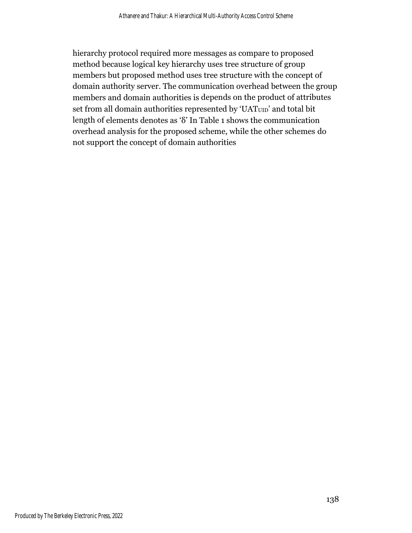hierarchy protocol required more messages as compare to proposed method because logical key hierarchy uses tree structure of group members but proposed method uses tree structure with the concept of domain authority server. The communication overhead between the group members and domain authorities is depends on the product of attributes set from all domain authorities represented by 'UAT<sub>UID</sub>' and total bit length of elements denotes as 'δ' In Table 1 shows the communication overhead analysis for the proposed scheme, while the other schemes do not support the concept of domain authorities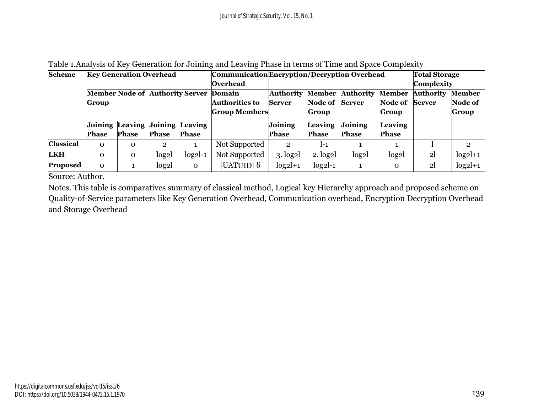| <b>Scheme</b>    | <b>Key Generation Overhead</b> |                                 |                                        |              | Communication Encryption / Decryption Overhead |                           |                     |                  |                  | <b>Total Storage</b><br><b>Complexity</b> |                |
|------------------|--------------------------------|---------------------------------|----------------------------------------|--------------|------------------------------------------------|---------------------------|---------------------|------------------|------------------|-------------------------------------------|----------------|
|                  |                                |                                 |                                        |              | Overhead                                       |                           |                     |                  |                  |                                           |                |
|                  |                                |                                 | Member Node of Authority Server Domain |              |                                                | <b>Authority</b>          | Member              | <b>Authority</b> | <b>Member</b>    | <b>Authority</b>                          | <b>Member</b>  |
|                  | Group                          |                                 |                                        |              | <b>Authorities to</b>                          | <b>Server</b>             | Node of             | <b>Server</b>    | Node of          | Server                                    | Node of        |
|                  |                                |                                 |                                        |              | <b>Group Members</b>                           |                           | Group               |                  | Group            |                                           | Group          |
|                  |                                | Joining Leaving Joining Leaving |                                        |              |                                                | Joining                   | <b>Leaving</b>      | <b>Joining</b>   | Leaving          |                                           |                |
|                  | <b>Phase</b>                   | <b>Phase</b>                    | <b>Phase</b>                           | <b>Phase</b> |                                                | <b>Phase</b>              | <b>Phase</b>        | <b>Phase</b>     | <b>Phase</b>     |                                           |                |
| <b>Classical</b> | $\Omega$                       | $\Omega$                        | $\overline{2}$                         |              | Not Supported                                  | $\overline{2}$            | $l-1$               |                  |                  |                                           | $\overline{2}$ |
| <b>LKH</b>       | $\Omega$                       | $\mathbf{O}$                    | log <sub>2</sub>                       | $log2l-1$    | Not Supported                                  | $3.$ log <sub>2</sub> $l$ | 2. log <sub>2</sub> | log <sub>2</sub> | log <sub>2</sub> | 2 <sup>1</sup>                            | $log2l+1$      |
| Proposed         | $\Omega$                       |                                 | log <sub>2</sub>                       | $\mathbf 0$  | UATUID  δ                                      | $log2l+1$                 | $log2l-1$           |                  | $\mathbf 0$      | 2 <sub>l</sub>                            | $log2l+1$      |

#### Table 1.Analysis of Key Generation for Joining and Leaving Phase in terms of Time and Space Complexity

Source: Author.

Notes. This table is comparatives summary of classical method, Logical key Hierarchy approach and proposed scheme on Quality-of-Service parameters like Key Generation Overhead, Communication overhead, Encryption Decryption Overhead and Storage Overhead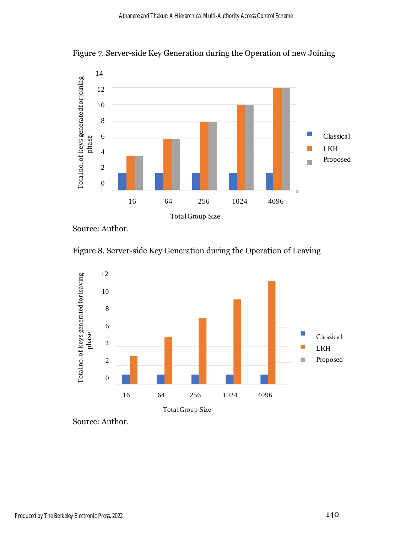

Figure 7. Server-side Key Generation during the Operation of new Joining



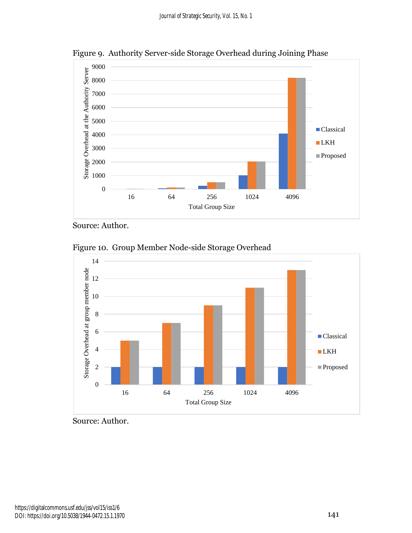

Figure 9. Authority Server-side Storage Overhead during Joining Phase

Figure 10. Group Member Node-side Storage Overhead



Source: Author.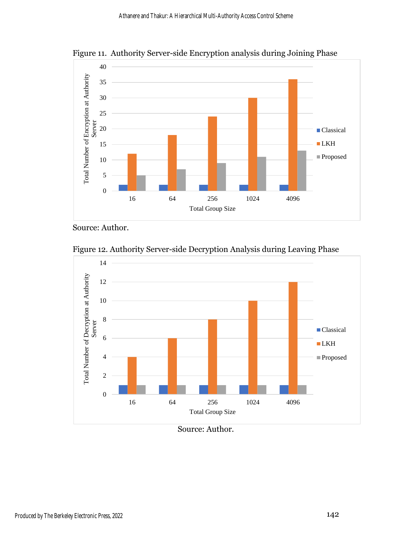

Figure 11. Authority Server-side Encryption analysis during Joining Phase





Source: Author.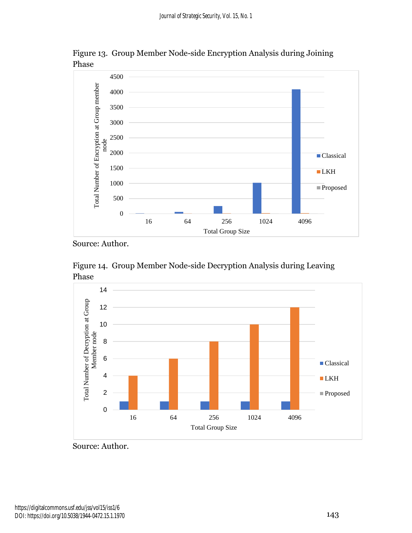

Figure 13. Group Member Node-side Encryption Analysis during Joining Phase





Source: Author.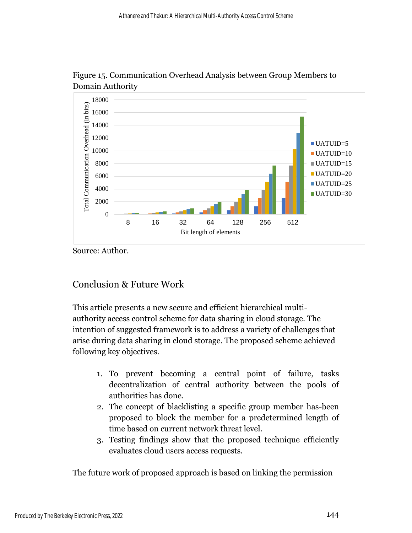

Figure 15. Communication Overhead Analysis between Group Members to Domain Authority

# Conclusion & Future Work

This article presents a new secure and efficient hierarchical multiauthority access control scheme for data sharing in cloud storage. The intention of suggested framework is to address a variety of challenges that arise during data sharing in cloud storage. The proposed scheme achieved following key objectives.

- 1. To prevent becoming a central point of failure, tasks decentralization of central authority between the pools of authorities has done.
- 2. The concept of blacklisting a specific group member has-been proposed to block the member for a predetermined length of time based on current network threat level.
- 3. Testing findings show that the proposed technique efficiently evaluates cloud users access requests.

The future work of proposed approach is based on linking the permission

Source: Author.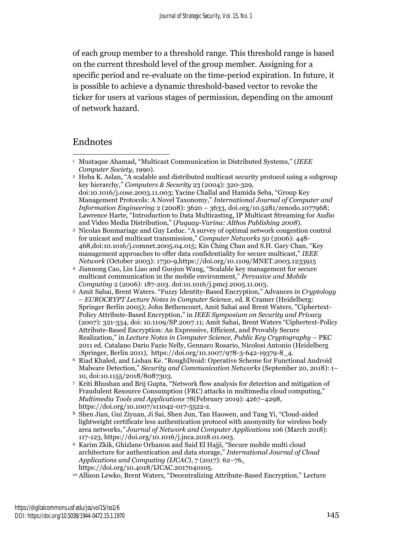of each group member to a threshold range. This threshold range is based on the current threshold level of the group member. Assigning for a specific period and re-evaluate on the time-period expiration. In future, it is possible to achieve a dynamic threshold-based vector to revoke the ticker for users at various stages of permission, depending on the amount of network hazard.

## Endnotes

<sup>1</sup> Mustaque Ahamad, "Multicast Communication in Distributed Systems*,*" (*IEEE Computer Society*, 1990).

<sup>2</sup> Heba K. Aslan, "A scalable and distributed multicast security protocol using a subgroup key hierarchy," *Computers & Security* 23 (2004): 320-329, doi:10.1016/j.cose.2003.11.003; Yacine Challal and Hamida Seba, "Group Key Management Protocols: A Novel Taxonomy," *International Journal of Computer and Information Engineering* 2 (2008): 3620 – 3633, doi.org/10.5281/zenodo.1077968; Lawrence Harte, "Introduction to Data Multicasting, IP Multicast Streaming for Audio and Video Media Distribution," (*Fuquay-Varina: Althos Publishing 2008*).

<sup>3</sup> Nicolas Bonmariage and Guy Leduc. "A survey of optimal network congestion control for unicast and multicast transmission," *Computer Networks* 50 (2006): 448- 468,doi:10.1016/j.comnet.2005.04.015; Kin Ching Chan and S.H. Gary Chan, "Key management approaches to offer data confidentiality for secure multicast," *IEEE Network* (October 2003): 1730-9,https://doi.org/10.1109/MNET.2003.1233915

<sup>4</sup> Jiannong Cao, Lin Liao and Guojun Wang, "Scalable key management for secure multicast communication in the mobile environment," *Pervasive and Mobile Computing* 2 (2006): 187-203. doi:10.1016/j.pmcj.2005.11.003.

<sup>5</sup> Amit Sahai, Brent Waters. "Fuzzy Identity-Based Encryption," Advances *in Cryptology – EUROCRYPT Lecture Notes in Computer Science*, ed. R Cramer (Heidelberg: Springer Berlin 2005); John Bethencourt, Amit Sahai and Brent Waters, "Ciphertext-Policy Attribute-Based Encryption," in *IEEE Symposium on Security and Privacy* (2007): 321-334, doi: 10.1109/SP.2007.11; Amit Sahai, Brent Waters "Ciphertext-Policy Attribute-Based Encryption: An Expressive, Efficient, and Provably Secure Realization," in *Lecture Notes in Computer Science, Public Key Cryptography* – PKC 2011 ed. Catalano Dario Fazio Nelly, Gennaro Rosario, Nicolosi Antonio (Heidelberg :Springer, Berlin 2011), https://doi.org/10.1007/978-3-642-19379-8\_4.

<sup>6</sup> Riad Khaled, and Lishan Ke. "RoughDroid: Operative Scheme for Functional Android Malware Detection," *Security and Communication Networks* (September 20, 2018): 1– 10, doi:10.1155/2018/8087303.

<sup>7</sup> Kriti Bhushan and Brij Gupta, "Network flow analysis for detection and mitigation of Fraudulent Resource Consumption (FRC) attacks in multimedia cloud computing," *Multimedia Tools and Applications* 78(February 2019): 4267–4298, https://doi.org/10.1007/s11042-017-5522-z.

<sup>8</sup> Shen Jian, Gui Ziyuan, Ji Sai, Shen Jun, Tan Haowen, and Tang Yi, "Cloud-aided lightweight certificate less authentication protocol with anonymity for wireless body area networks,*" Journal of Network and Computer Applications* 106 (March 2018): 117-123, [https://doi.org/10.1016/j.jnca.2018.01.003.](https://doi.org/10.1016/j.jnca.2018.01.003)

<sup>9</sup> Karim Zkik, Ghizlane Orhanou and Said El Hajji, "Secure mobile multi cloud architecture for authentication and data storage," *International Journal of Cloud Applications and Computing (IJCAC)*, 7 (2017): 62–76[,](https://doi.org/10.4018/IJCAC.2017040105) [https://doi.org/10.4018/IJCAC.2017040105.](https://doi.org/10.4018/IJCAC.2017040105)

<sup>10</sup> Allison Lewko, Brent Waters, "Decentralizing Attribute-Based Encryption," Lecture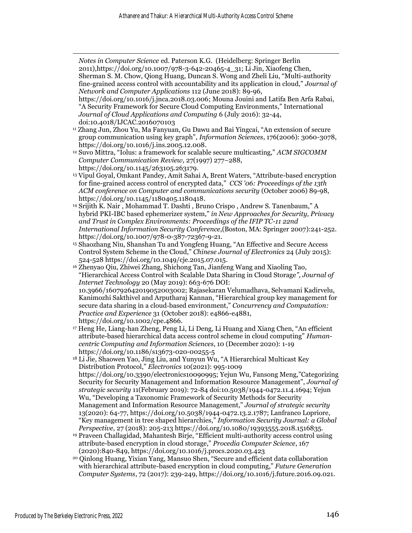*Notes in Computer Science* ed. Paterson K.G. (Heidelberg: Springer Berlin 2011),https://doi.org/10.1007/978-3-642-20465-4\_31; Li Jin, Xiaofeng Chen, Sherman S. M. Chow, Qiong Huang, Duncan S. Wong and Zheli Liu, "Multi-authority fine-grained access control with accountability and its application in cloud," *Journal of Network and Computer Applications* 112 (June 2018): 89-96, [https://doi.org/10.1016/j.jnca.2018.03.006;](https://doi.org/10.1016/j.jnca.2018.03.006) Mouna Jouini and Latifa Ben Arfa Rabai, "A Security Framework for Secure Cloud Computing Environments," International *Journal of Cloud Applications and Computing* 6 (July 2016): 32-44, doi:10.4018/IJCAC.2016070103 <sup>11</sup> Zhang Jun, Zhou Yu, Ma Fanyuan, Gu Dawu and Bai Yingcai, "An extension of secure group communication using key graph", *Information Sciences*, 176(2006): 3060-3078, [https://doi.org/10.1016/j.ins.2005.12.008.](https://doi.org/10.1016/j.ins.2005.12.008) <sup>12</sup> Suvo Mittra, "Iolus: a framework for scalable secure multicasting," *ACM SIGCOMM Computer Communication Review,* 27(1997) 277–288, [https://doi.org/10.1145/263105.263179.](https://doi.org/10.1145/263105.263179) <sup>13</sup> Vipul Goyal, Omkant Pandey, Amit Sahai A, Brent Waters, "Attribute-based encryption for fine-grained access control of encrypted data," *CCS '06: Proceedings of the 13th ACM conference on Computer and communications security* (October 2006) 89-98, [https://doi.org/10.1145/1180405.1180418.](https://doi.org/10.1145/1180405.1180418) <sup>14</sup> Srijith K. Nair , Mohammad T. Dashti , Bruno Crispo , Andrew S. Tanenbaum," A hybrid PKI-IBC based ephemerizer system," *in New Approaches for Security, Privacy and Trust in Complex Environments: Proceedings of the IFIP TC-11 22nd International Information Security Conference*,(Boston, MA: Springer 2007):241-252. [https://doi.org/10.1007/978-0-387-72367-9-21.](https://doi.org/10.1007/978-0-387-72367-9-21) <sup>15</sup> Shaozhang Niu, Shanshan Tu and Yongfeng Huang, "An Effective and Secure Access Control System Scheme in the Cloud," *Chinese Journal of Electronics* 24 (July 2015): 524-528 [https://doi.org/10.1049/cje.2015.07.015.](https://doi.org/10.1049/cje.2015.07.015) <sup>16</sup> Zhenyao Qiu, Zhiwei Zhang, Shichong Tan, Jianfeng Wang and Xiaoling Tao, "Hierarchical Access Control with Scalable Data Sharing in Cloud Storage*", Journal of Internet Technology* 20 (May 2019): 663-676 DOI: 10.3966/160792642019052003002; Rajasekaran Velumadhava, Selvamani Kadirvelu, Kanimozhi Sakthivel and Arputharaj Kannan, "Hierarchical group key management for secure data sharing in a cloud‐based environment," *Concurrency and Computation: Practice and Experience* 31 (October 2018): e4866-e4881, https://doi.org/10.1002/cpe.4866. <sup>17</sup> Heng He, Liang-han Zheng, Peng Li, Li Deng, Li Huang and Xiang Chen, "An efficient attribute-based hierarchical data access control scheme in cloud computing" *Humancentric Computing and Information Sciences*, 10 (December 2020): 1-19 https://doi.org/10.1186/s13673-020-00255-5 <sup>18</sup> Li Jie, Shaowen Yao, Jing Liu, and Yunyun Wu, "A Hierarchical Multicast Key Distribution Protocol," *Electronics* 10(2021): 995-1009 https://doi.org/10.3390/electronics10090995; Yejun Wu, Fansong Meng,"Categorizing Security for Security Management and Information Resource Management", *Journal of strategic security* 11(February 2019): 72-84 doi:10.5038/1944-0472.11.4.1694; Yejun Wu, "Developing a Taxonomic Framework of Security Methods for Security Management and Information Resource Management," *Journal of strategic security* 13(2020): 64-77, [https://doi.org/10.5038/1944-0472.13.2.1787;](https://doi.org/10.5038/1944-0472.13.2.1787) Lanfranco Lopriore,

- "Key management in tree shaped hierarchies," *Information Security Journal: a Global Perspective*, 27 (2018): 205-213 https://doi.org/10.1080/19393555.2018.1516835.
- <sup>19</sup> Praveen Challagidad, Mahantesh Birje, "Efficient multi-authority access control using attribute-based encryption in cloud storage," *Procedia Computer Science*, 167 (2020):840-849,<https://doi.org/10.1016/j.procs.2020.03.423>
- <sup>20</sup> Qinlong Huang, Yixian Yang, Mansuo Shen, "Secure and efficient data collaboration with hierarchical attribute-based encryption in cloud computing," *Future Generation Computer Systems*, 72 (2017): 239-249, https://doi.org/10.1016/j.future.2016.09.021.